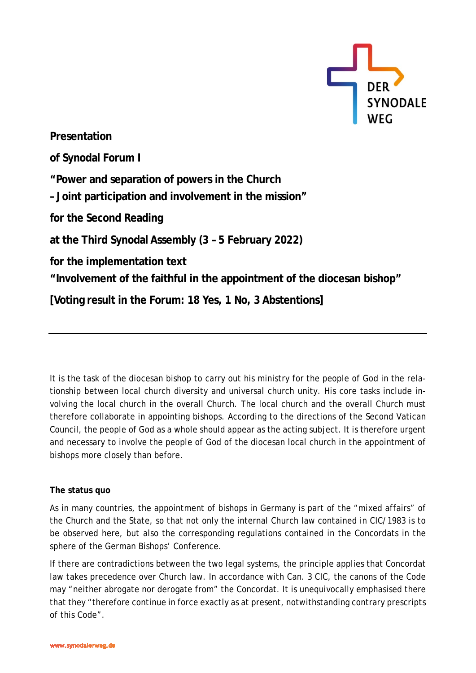

**Presentation of Synodal Forum I "Power and separation of powers in the Church – Joint participation and involvement in the mission" for the Second Reading at the Third Synodal Assembly (3 – 5 February 2022) for the implementation text "Involvement of the faithful in the appointment of the diocesan bishop" [Voting result in the Forum: 18 Yes, 1 No, 3 Abstentions]**

It is the task of the diocesan bishop to carry out his ministry for the people of God in the relationship between local church diversity and universal church unity. His core tasks include involving the local church in the overall Church. The local church and the overall Church must therefore collaborate in appointing bishops. According to the directions of the Second Vatican Council, the people of God as a whole should appear as the acting subject. It is therefore urgent and necessary to involve the people of God of the diocesan local church in the appointment of bishops more closely than before.

## **The status quo**

As in many countries, the appointment of bishops in Germany is part of the "mixed affairs" of the Church and the State, so that not only the internal Church law contained in CIC/1983 is to be observed here, but also the corresponding regulations contained in the Concordats in the sphere of the German Bishops' Conference.

If there are contradictions between the two legal systems, the principle applies that Concordat law takes precedence over Church law. In accordance with Can. 3 CIC, the canons of the Code may "neither abrogate nor derogate from" the Concordat. It is unequivocally emphasised there that they "therefore continue in force exactly as at present, notwithstanding contrary prescripts of this Code".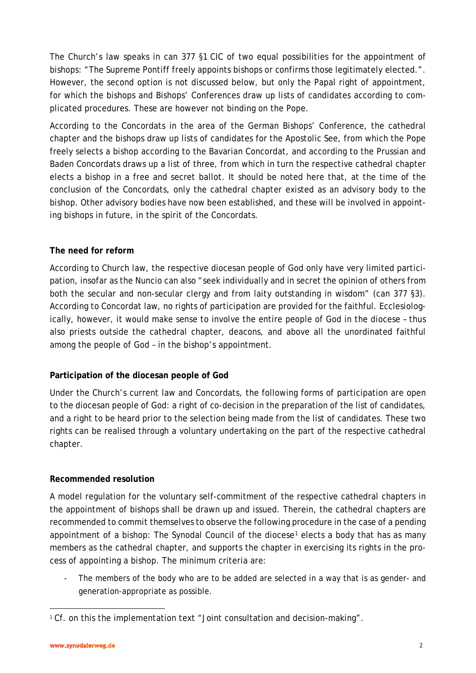The Church's law speaks in can 377 §1 CIC of two equal possibilities for the appointment of bishops: "The Supreme Pontiff freely appoints bishops or confirms those legitimately elected.". However, the second option is not discussed below, but only the Papal right of appointment, for which the bishops and Bishops' Conferences draw up lists of candidates according to complicated procedures. These are however not binding on the Pope.

According to the Concordats in the area of the German Bishops' Conference, the cathedral chapter and the bishops draw up lists of candidates for the Apostolic See, from which the Pope freely selects a bishop according to the Bavarian Concordat, and according to the Prussian and Baden Concordats draws up a list of three, from which in turn the respective cathedral chapter elects a bishop in a free and secret ballot. It should be noted here that, at the time of the conclusion of the Concordats, only the cathedral chapter existed as an advisory body to the bishop. Other advisory bodies have now been established, and these will be involved in appointing bishops in future, in the spirit of the Concordats.

## **The need for reform**

According to Church law, the respective diocesan people of God only have very limited participation, insofar as the Nuncio can also "seek individually and in secret the opinion of others from both the secular and non-secular clergy and from laity outstanding in wisdom" (can 377 §3). According to Concordat law, no rights of participation are provided for the faithful. Ecclesiologically, however, it would make sense to involve the entire people of God in the diocese – thus also priests outside the cathedral chapter, deacons, and above all the unordinated faithful among the people of God – in the bishop's appointment.

## **Participation of the diocesan people of God**

Under the Church's current law and Concordats, the following forms of participation are open to the diocesan people of God: a right of co-decision in the preparation of the list of candidates, and a right to be heard prior to the selection being made from the list of candidates. These two rights can be realised through a voluntary undertaking on the part of the respective cathedral chapter.

## **Recommended resolution**

A model regulation for the voluntary self-commitment of the respective cathedral chapters in the appointment of bishops shall be drawn up and issued. Therein, the cathedral chapters are recommended to commit themselves to observe the following procedure in the case of a pending appointment of a bishop: The Synodal Council of the diocese<sup>[1](#page-1-0)</sup> elects a body that has as many members as the cathedral chapter, and supports the chapter in exercising its rights in the process of appointing a bishop. The minimum criteria are:

The members of the body who are to be added are selected in a way that is as gender- and generation-appropriate as possible.

 $\overline{\phantom{a}}$ 

<span id="page-1-0"></span><sup>&</sup>lt;sup>1</sup> Cf. on this the implementation text "Joint consultation and decision-making".